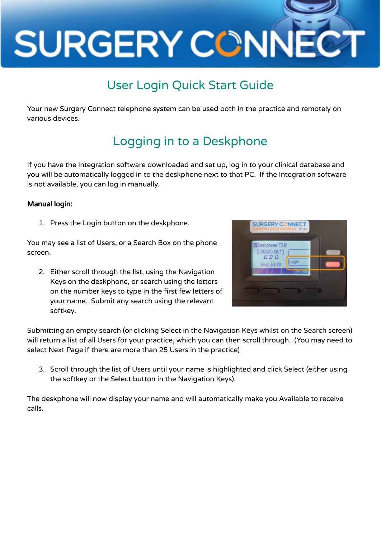

## User Login Quick Start Guide

Your new Surgery Connect telephone system can be used both in the practice and remotely on various devices.

## Logging in to a Deskphone

If you have the Integration software downloaded and set up, log in to your clinical database and you will be automatically logged in to the deskphone next to that PC. If the Integration software is not available, you can log in manually.

#### Manual login:

1. Press the Login button on the deskphone.

You may see a list of Users, or a Search Box on the phone screen.

2. Either scroll through the list, using the Navigation Keys on the deskphone, or search using the letters on the number keys to type in the first few letters of your name. Submit any search using the relevant softkey.



Submitting an empty search (or clicking Select in the Navigation Keys whilst on the Search screen) will return a list of all Users for your practice, which you can then scroll through. (You may need to select Next Page if there are more than 25 Users in the practice)

3. Scroll through the list of Users until your name is highlighted and click Select (either using the softkey or the Select button in the Navigation Keys).

The deskphone will now display your name and will automatically make you Available to receive calls.